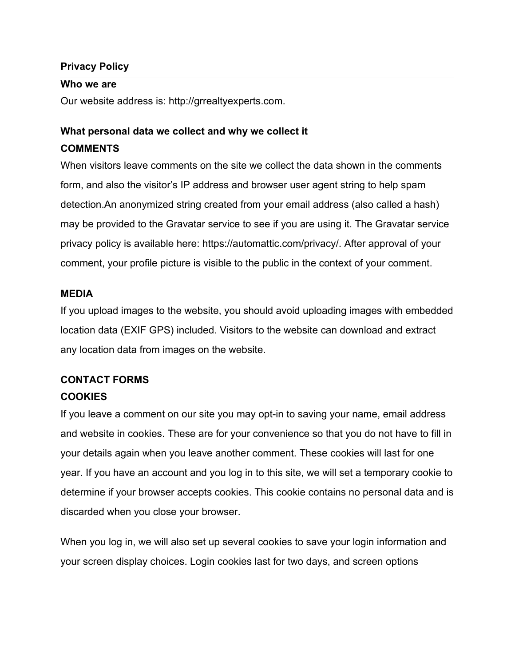#### **Privacy Policy**

#### **Who we are**

Our website address is: [http://grrealtyexperts.com](http://grrealtyexperts.com/).

# **What personal data we collect and why we collect it COMMENTS**

When visitors leave comments on the site we collect the data shown in the comments form, and also the visitor's IP address and browser user agent string to help spam detection.An anonymized string created from your email address (also called a hash) may be provided to the Gravatar service to see if you are using it. The Gravatar service privacy policy is available here: [https://automattic.com/privacy/.](https://automattic.com/privacy/) After approval of your comment, your profile picture is visible to the public in the context of your comment.

#### **MEDIA**

If you upload images to the website, you should avoid uploading images with embedded location data (EXIF GPS) included. Visitors to the website can download and extract any location data from images on the website.

# **CONTACT FORMS**

## **COOKIES**

If you leave a comment on our site you may opt-in to saving your name, email address and website in cookies. These are for your convenience so that you do not have to fill in your details again when you leave another comment. These cookies will last for one year. If you have an account and you log in to this site, we will set a temporary cookie to determine if your browser accepts cookies. This cookie contains no personal data and is discarded when you close your browser.

When you log in, we will also set up several cookies to save your login information and your screen display choices. Login cookies last for two days, and screen options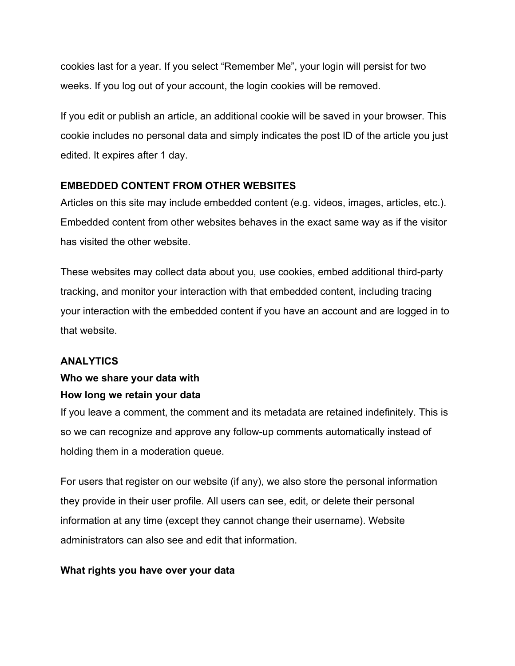cookies last for a year. If you select "Remember Me", your login will persist for two weeks. If you log out of your account, the login cookies will be removed.

If you edit or publish an article, an additional cookie will be saved in your browser. This cookie includes no personal data and simply indicates the post ID of the article you just edited. It expires after 1 day.

# **EMBEDDED CONTENT FROM OTHER WEBSITES**

Articles on this site may include embedded content (e.g. videos, images, articles, etc.). Embedded content from other websites behaves in the exact same way as if the visitor has visited the other website.

These websites may collect data about you, use cookies, embed additional third-party tracking, and monitor your interaction with that embedded content, including tracing your interaction with the embedded content if you have an account and are logged in to that website.

### **ANALYTICS**

# **Who we share your data with How long we retain your data**

If you leave a comment, the comment and its metadata are retained indefinitely. This is so we can recognize and approve any follow-up comments automatically instead of holding them in a moderation queue.

For users that register on our website (if any), we also store the personal information they provide in their user profile. All users can see, edit, or delete their personal information at any time (except they cannot change their username). Website administrators can also see and edit that information.

#### **What rights you have over your data**